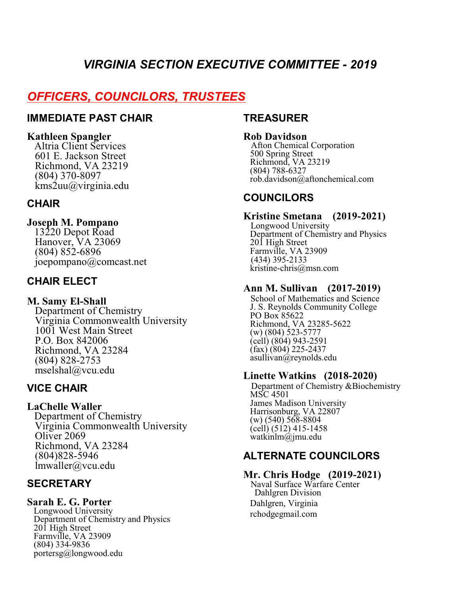# *VIRGINIA SECTION EXECUTIVE COMMITTEE - 2019*

# *OFFICERS, COUNCILORS, TRUSTEES*

# **IMMEDIATE PAST CHAIR**

#### **Kathleen Spangler**

 Altria Client Services 601 E. Jackson Street Richmond, VA 23219 (804) 370-8097  $\text{kms2uu}$ @virginia.edu

# **CHAIR**

### **Joseph M. Pompano**

 13220 Depot Road Hanover, VA 23069 (804) 852-6896 joepompano@comcast.net

# **CHAIR ELECT**

#### **M. Samy El-Shall**

 Department of Chemistry Virginia Commonwealth University 1001 West Main Street P.O. Box 842006 Richmond, VA 23284 (804) 828-2753 mselshal@vcu.edu

# **VICE CHAIR**

### **LaChelle Waller**

 Department of Chemistry Virginia Commonwealth University Oliver 2069 Richmond, VA 23284 (804)828-5946 lmwaller@vcu.edu

# **SECRETARY**

#### **Sarah E. G. Porter**

 Longwood University Department of Chemistry and Physics 201 High Street Farmville, VA 23909 (804) 334-9836 portersg@longwood.edu

### **TREASURER**

#### **Rob Davidson**

 Afton Chemical Corporation 500 Spring Street Richmond, VA 23219 (804) 788-6327 rob.davidson@aftonchemical.com

# **COUNCILORS**

### **Kristine Smetana (2019-2021)**

 Longwood University Department of Chemistry and Physics 201 High Street Farmville, VA 23909 (434) 395-2133 kristine-chris@msn.com

#### **Ann M. Sullivan (2017-2019)**

 School of Mathematics and Science J. S. Reynolds Community College PO Box 85622 Richmond, VA 23285-5622 (w) (804) 523-5777 (cell) (804) 943-2591  $(kax)$   $(804)$  225-2437 asullivan@reynolds.edu

### **Linette Watkins (2018-2020)**

Department of Chemistry &Biochemistry MSC 4501 James Madison University Harrisonburg, VA 22807  $(w)$  (540) 568-8804 (cell) (512) 415-1458 watkinlm@jmu.edu

# **ALTERNATE COUNCILORS**

### **Mr. Chris Hodge (2019-2021)**

Naval Surface Warfare Center Dahlgren Division Dahlgren, Virginia rchodgegmail.com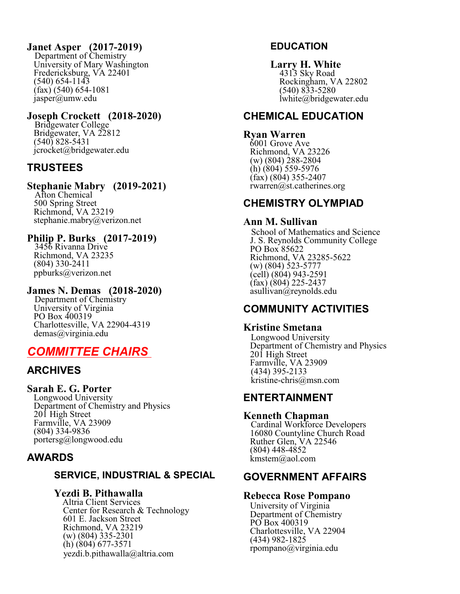### **Janet Asper (2017-2019)**

 Department of Chemistry University of Mary Washington Fredericksburg, VA 22401 (540) 654-1143  $(kax)$  (540) 654-1081 jasper@umw.edu

### **Joseph Crockett (2018-2020)**

 Bridgewater College Bridgewater, VA 22812  $(540)$  828-5431 jcrocket@bridgewater.edu

# **TRUSTEES**

### **Stephanie Mabry (2019-2021)**

 Afton Chemical 500 Spring Street Richmond, VA 23219 stephanie.mabry@verizon.net

### **Philip P. Burks (2017-2019)**

 3456 Rivanna Drive Richmond, VA 23235 (804) 330-2411 ppburks@verizon.net

### **James N. Demas (2018-2020)**

 Department of Chemistry University of Virginia PO Box 400319 Charlottesville, VA 22904-4319 demas@virginia.edu

# *COMMITTEE CHAIRS*

# **ARCHIVES**

### **Sarah E. G. Porter**

 Longwood University Department of Chemistry and Physics 201 High Street Farmville, VA 23909 (804) 334-9836 portersg@longwood.edu

# **AWARDS**

### **SERVICE, INDUSTRIAL & SPECIAL**

#### **Yezdi B. Pithawalla**

 Altria Client Services Center for Research & Technology 601 E. Jackson Street Richmond, VA 23219 (w) (804) 335-2301 (h) (804) 677-3571 yezdi.b.pithawalla@altria.com

### **EDUCATION**

**Larry H. White** 4313 Sky Road Rockingham, VA 22802 (540) 833-5280 lwhite@bridgewater.edu

# **CHEMICAL EDUCATION**

#### **Ryan Warren**

 6001 Grove Ave Richmond, VA 23226 (w) (804) 288-2804  $(h)$  (804) 559-5976  $(\text{fax})$  (804) 355-2407 rwarren@st.catherines.org

# **CHEMISTRY OLYMPIAD**

### **Ann M. Sullivan**

 School of Mathematics and Science J. S. Reynolds Community College PO Box 85622 Richmond, VA 23285-5622 (w) (804) 523-5777 (cell) (804) 943-2591 (fax) (804) 225-2437 asullivan@reynolds.edu

# **COMMUNITY ACTIVITIES**

### **Kristine Smetana**

 Longwood University Department of Chemistry and Physics 201 High Street Farmville, VA 23909 (434) 395-2133 kristine-chris@msn.com

# **ENTERTAINMENT**

### **Kenneth Chapman**

 Cardinal Workforce Developers 16080 Countyline Church Road Ruther Glen, VA 22546 (804) 448-4852 kmstem@aol.com

# **GOVERNMENT AFFAIRS**

#### **Rebecca Rose Pompano**

 University of Virginia Department of Chemistry PO Box 400319 Charlottesville, VA 22904 (434) 982-1825 rpompano@virginia.edu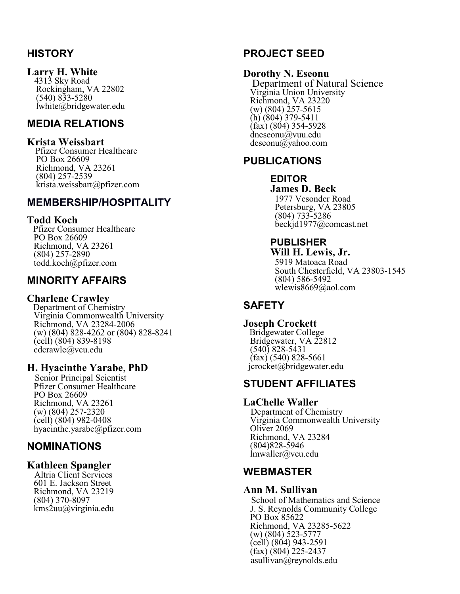# **HISTORY**

#### **Larry H. White**

 4313 Sky Road Rockingham, VA 22802 (540) 833-5280 lwhite@bridgewater.edu

# **MEDIA RELATIONS**

#### **Krista Weissbart**

 Pfizer Consumer Healthcare PO Box 26609 Richmond, VA 23261 (804) 257-2539 krista.weissbart@pfizer.com

# **MEMBERSHIP/HOSPITALITY**

#### **Todd Koch**

 Pfizer Consumer Healthcare PO Box 26609 Richmond, VA 23261 (804) 257-2890 todd.koch@pfizer.com

# **MINORITY AFFAIRS**

#### **Charlene Crawley**

 Department of Chemistry Virginia Commonwealth University Richmond, VA 23284-2006 (w) (804) 828-4262 or (804) 828-8241 (cell) (804) 839-8198 cdcrawle@vcu.edu

### **H. Hyacinthe Yarabe**, **PhD**

 Senior Principal Scientist Pfizer Consumer Healthcare PO Box 26609 Richmond, VA 23261 (w) (804) 257-2320  $\left(\text{cell}\right)$  (804) 982-0408 hyacinthe.yarabe@pfizer.com

# **NOMINATIONS**

### **Kathleen Spangler**

 Altria Client Services 601 E. Jackson Street Richmond, VA 23219 (804) 370-8097 kms2uu@virginia.edu

# **PROJECT SEED**

### **Dorothy N. Eseonu**

 Department of Natural Science Virginia Union University Richmond, VA 23220 (w) (804) 257-5615  $(h)(804)$  379-5411  $(fax)$  (804) 354-5928 dneseonu@vuu.edu deseonu@yahoo.com

# **PUBLICATIONS**

#### **EDITOR James D. Beck**

 1977 Vesonder Road Petersburg, VA 23805 (804) 733-5286 beckjd1977@comcast.net

#### **PUBLISHER Will H. Lewis, Jr.**

 5919 Matoaca Road South Chesterfield, VA 23803-1545 (804) 586-5492 wlewis8669@aol.com

# **SAFETY**

#### **Joseph Crockett** Bridgewater College Bridgewater, VA 22812 (540) 828-5431 (fax) (540) 828-5661 jcrocket@bridgewater.edu

# **STUDENT AFFILIATES**

#### **LaChelle Waller**

 Department of Chemistry Virginia Commonwealth University Oliver 2069 Richmond, VA 23284 (804)828-5946 lmwaller@vcu.edu

# **WEBMASTER**

#### **Ann M. Sullivan**

 School of Mathematics and Science J. S. Reynolds Community College PO Box 85622 Richmond, VA 23285-5622 (w) (804) 523-5777 (cell) (804) 943-2591  $(fax)$  (804) 225-2437 asullivan@reynolds.edu